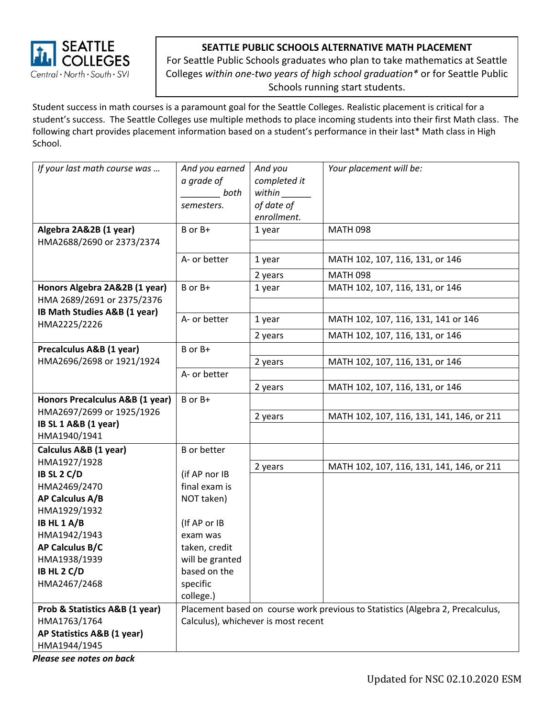

## **SEATTLE PUBLIC SCHOOLS ALTERNATIVE MATH PLACEMENT**

For Seattle Public Schools graduates who plan to take mathematics at Seattle Colleges *within one-two years of high school graduation\** or for Seattle Public Schools running start students.

Student success in math courses is a paramount goal for the Seattle Colleges. Realistic placement is critical for a student's success. The Seattle Colleges use multiple methods to place incoming students into their first Math class. The following chart provides placement information based on a student's performance in their last\* Math class in High School.

| If your last math course was<br>Algebra 2A&2B (1 year)      | And you earned<br>a grade of<br>both<br>semesters.<br>B or B+                  | And you<br>completed it<br>within<br>of date of<br>enrollment.<br>1 year | Your placement will be:<br><b>MATH 098</b> |
|-------------------------------------------------------------|--------------------------------------------------------------------------------|--------------------------------------------------------------------------|--------------------------------------------|
| HMA2688/2690 or 2373/2374                                   |                                                                                |                                                                          |                                            |
|                                                             | A- or better                                                                   | 1 year                                                                   | MATH 102, 107, 116, 131, or 146            |
|                                                             |                                                                                | 2 years                                                                  | <b>MATH 098</b>                            |
| Honors Algebra 2A&2B (1 year)<br>HMA 2689/2691 or 2375/2376 | B or B+                                                                        | 1 year                                                                   | MATH 102, 107, 116, 131, or 146            |
| IB Math Studies A&B (1 year)<br>HMA2225/2226                | A- or better                                                                   | 1 year                                                                   | MATH 102, 107, 116, 131, 141 or 146        |
|                                                             |                                                                                | 2 years                                                                  | MATH 102, 107, 116, 131, or 146            |
| Precalculus A&B (1 year)                                    | B or B+                                                                        |                                                                          |                                            |
| HMA2696/2698 or 1921/1924                                   |                                                                                | 2 years                                                                  | MATH 102, 107, 116, 131, or 146            |
|                                                             | A- or better                                                                   |                                                                          |                                            |
|                                                             |                                                                                | 2 years                                                                  | MATH 102, 107, 116, 131, or 146            |
| Honors Precalculus A&B (1 year)                             | B or B+                                                                        |                                                                          |                                            |
| HMA2697/2699 or 1925/1926<br>IB SL 1 A&B (1 year)           |                                                                                | 2 years                                                                  | MATH 102, 107, 116, 131, 141, 146, or 211  |
| HMA1940/1941                                                |                                                                                |                                                                          |                                            |
| Calculus A&B (1 year)                                       | <b>B</b> or better                                                             |                                                                          |                                            |
| HMA1927/1928                                                |                                                                                | 2 years                                                                  | MATH 102, 107, 116, 131, 141, 146, or 211  |
| IB SL 2 C/D                                                 | (if AP nor IB                                                                  |                                                                          |                                            |
| HMA2469/2470                                                | final exam is                                                                  |                                                                          |                                            |
| AP Calculus A/B                                             | NOT taken)                                                                     |                                                                          |                                            |
| HMA1929/1932<br>IB HL $1 A/B$                               | (If AP or IB                                                                   |                                                                          |                                            |
| HMA1942/1943                                                | exam was                                                                       |                                                                          |                                            |
| AP Calculus B/C                                             | taken, credit                                                                  |                                                                          |                                            |
| HMA1938/1939                                                | will be granted                                                                |                                                                          |                                            |
| IB HL 2 C/D                                                 | based on the                                                                   |                                                                          |                                            |
| HMA2467/2468                                                | specific                                                                       |                                                                          |                                            |
|                                                             | college.)                                                                      |                                                                          |                                            |
| Prob & Statistics A&B (1 year)                              | Placement based on course work previous to Statistics (Algebra 2, Precalculus, |                                                                          |                                            |
| HMA1763/1764                                                | Calculus), whichever is most recent                                            |                                                                          |                                            |
| AP Statistics A&B (1 year)                                  |                                                                                |                                                                          |                                            |
| HMA1944/1945<br>Dlogco con notos on hask                    |                                                                                |                                                                          |                                            |

*Please see notes on back*